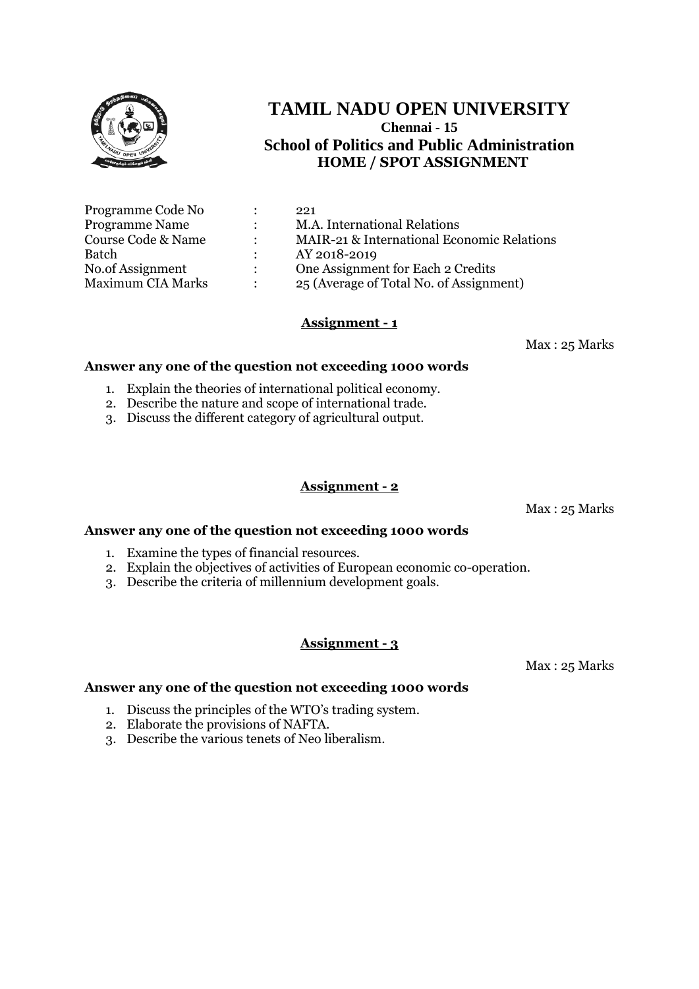

| Programme Code No        |               | 221                                        |
|--------------------------|---------------|--------------------------------------------|
| <b>Programme Name</b>    | $\mathcal{L}$ | M.A. International Relations               |
| Course Code & Name       | $\bullet$     | MAIR-21 & International Economic Relations |
| Batch                    |               | AY 2018-2019                               |
| No.of Assignment         | $\mathcal{L}$ | One Assignment for Each 2 Credits          |
| <b>Maximum CIA Marks</b> | $\bullet$     | 25 (Average of Total No. of Assignment)    |

# **Assignment - 1**

Max : 25 Marks

## **Answer any one of the question not exceeding 1000 words**

- 1. Explain the theories of international political economy.
- 2. Describe the nature and scope of international trade.
- 3. Discuss the different category of agricultural output.

## **Assignment - 2**

Max : 25 Marks

#### **Answer any one of the question not exceeding 1000 words**

- 1. Examine the types of financial resources.
- 2. Explain the objectives of activities of European economic co-operation.
- 3. Describe the criteria of millennium development goals.

## **Assignment - 3**

Max : 25 Marks

- 1. Discuss the principles of the WTO's trading system.
- 2. Elaborate the provisions of NAFTA.
- 3. Describe the various tenets of Neo liberalism.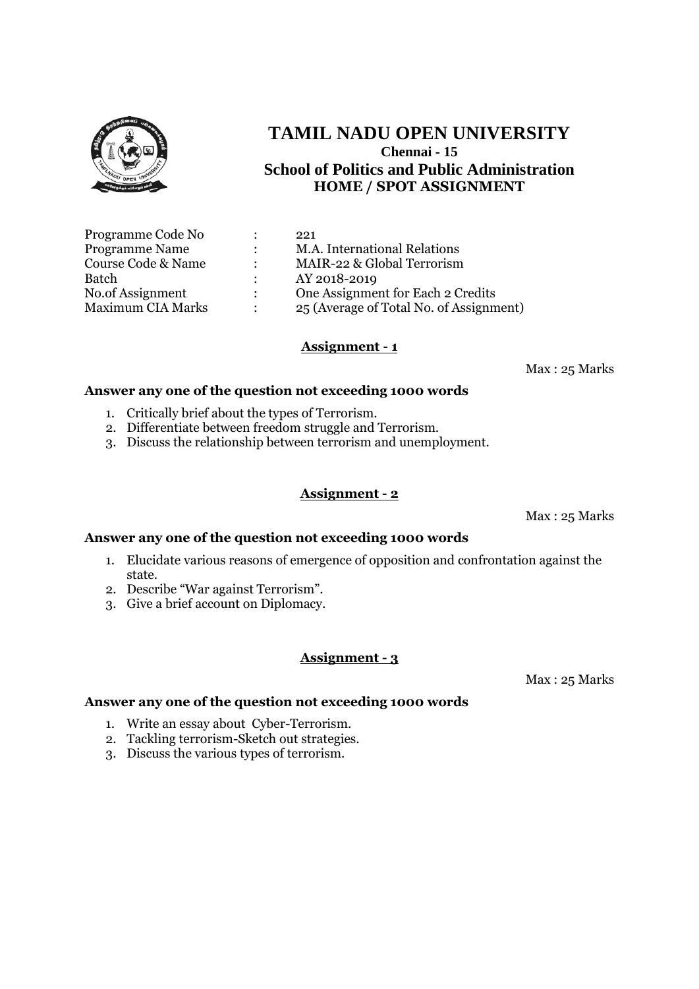

| Programme Code No        |                      | 221                                     |
|--------------------------|----------------------|-----------------------------------------|
| <b>Programme Name</b>    | $\ddot{\phantom{0}}$ | M.A. International Relations            |
| Course Code & Name       |                      | MAIR-22 & Global Terrorism              |
| Batch                    |                      | AY 2018-2019                            |
| No.of Assignment         | $\mathcal{L}$        | One Assignment for Each 2 Credits       |
| <b>Maximum CIA Marks</b> |                      | 25 (Average of Total No. of Assignment) |

#### **Assignment - 1**

Max : 25 Marks

#### **Answer any one of the question not exceeding 1000 words**

- 1. Critically brief about the types of Terrorism.
- 2. Differentiate between freedom struggle and Terrorism.
- 3. Discuss the relationship between terrorism and unemployment.

#### **Assignment - 2**

Max : 25 Marks

#### **Answer any one of the question not exceeding 1000 words**

- 1. Elucidate various reasons of emergence of opposition and confrontation against the state.
- 2. Describe "War against Terrorism".
- 3. Give a brief account on Diplomacy.

## **Assignment - 3**

Max : 25 Marks

- 1. Write an essay about Cyber-Terrorism.
- 2. Tackling terrorism-Sketch out strategies.
- 3. Discuss the various types of terrorism.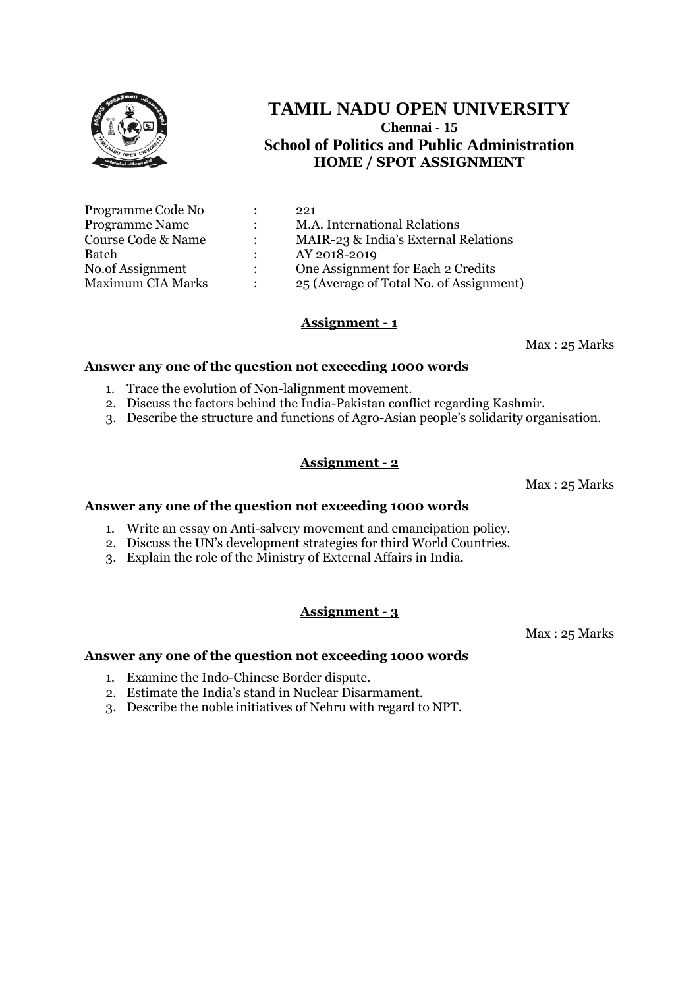

| Programme Code No        |                      | 221                                     |
|--------------------------|----------------------|-----------------------------------------|
| <b>Programme Name</b>    |                      | M.A. International Relations            |
| Course Code & Name       | $\ddot{\phantom{a}}$ | MAIR-23 & India's External Relations    |
| Batch                    |                      | AY 2018-2019                            |
| No.of Assignment         | $\mathcal{L}$        | One Assignment for Each 2 Credits       |
| <b>Maximum CIA Marks</b> |                      | 25 (Average of Total No. of Assignment) |

## **Assignment - 1**

Max : 25 Marks

#### **Answer any one of the question not exceeding 1000 words**

- 1. Trace the evolution of Non-lalignment movement.
- 2. Discuss the factors behind the India-Pakistan conflict regarding Kashmir.
- 3. Describe the structure and functions of Agro-Asian people's solidarity organisation.

## **Assignment - 2**

Max : 25 Marks

#### **Answer any one of the question not exceeding 1000 words**

- 1. Write an essay on Anti-salvery movement and emancipation policy.
- 2. Discuss the UN's development strategies for third World Countries.
- 3. Explain the role of the Ministry of External Affairs in India.

# **Assignment - 3**

Max : 25 Marks

- 1. Examine the Indo-Chinese Border dispute.
- 2. Estimate the India's stand in Nuclear Disarmament.
- 3. Describe the noble initiatives of Nehru with regard to NPT.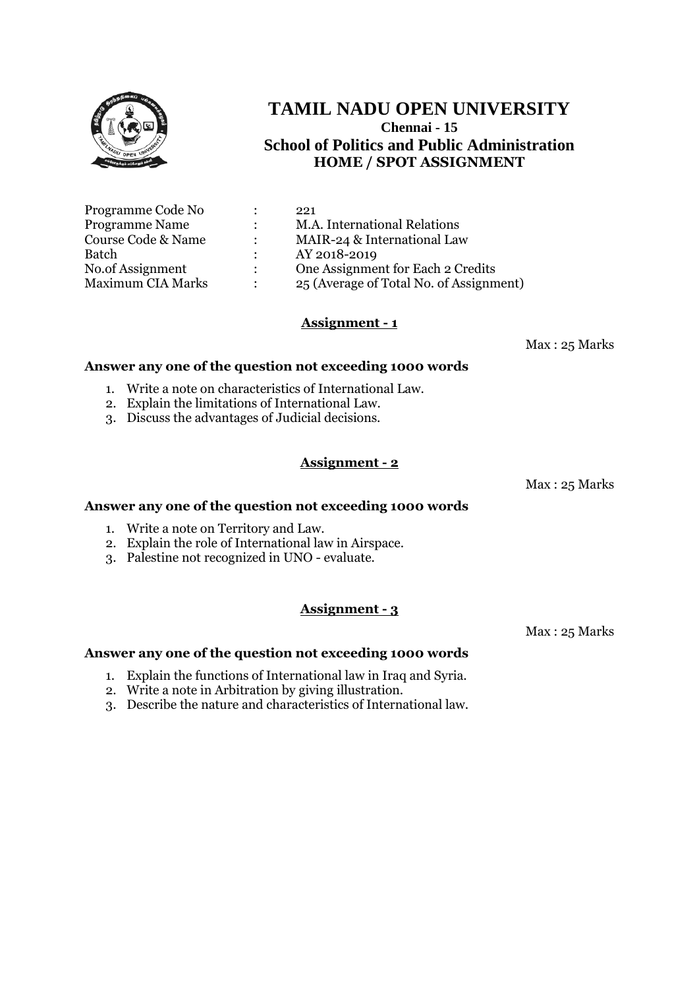

| Programme Code No        |                      | 221                                     |
|--------------------------|----------------------|-----------------------------------------|
| <b>Programme Name</b>    | $\ddot{\phantom{0}}$ | M.A. International Relations            |
| Course Code & Name       |                      | MAIR-24 & International Law             |
| Batch                    |                      | AY 2018-2019                            |
| No.of Assignment         | $\mathcal{L}$        | One Assignment for Each 2 Credits       |
| <b>Maximum CIA Marks</b> |                      | 25 (Average of Total No. of Assignment) |

# **Assignment - 1**

Max : 25 Marks

#### **Answer any one of the question not exceeding 1000 words**

- 1. Write a note on characteristics of International Law.
- 2. Explain the limitations of International Law.
- 3. Discuss the advantages of Judicial decisions.

## **Assignment - 2**

Max : 25 Marks

#### **Answer any one of the question not exceeding 1000 words**

- 1. Write a note on Territory and Law.
- 2. Explain the role of International law in Airspace.
- 3. Palestine not recognized in UNO evaluate.

## **Assignment - 3**

Max : 25 Marks

- 1. Explain the functions of International law in Iraq and Syria.
- 2. Write a note in Arbitration by giving illustration.
- 3. Describe the nature and characteristics of International law.